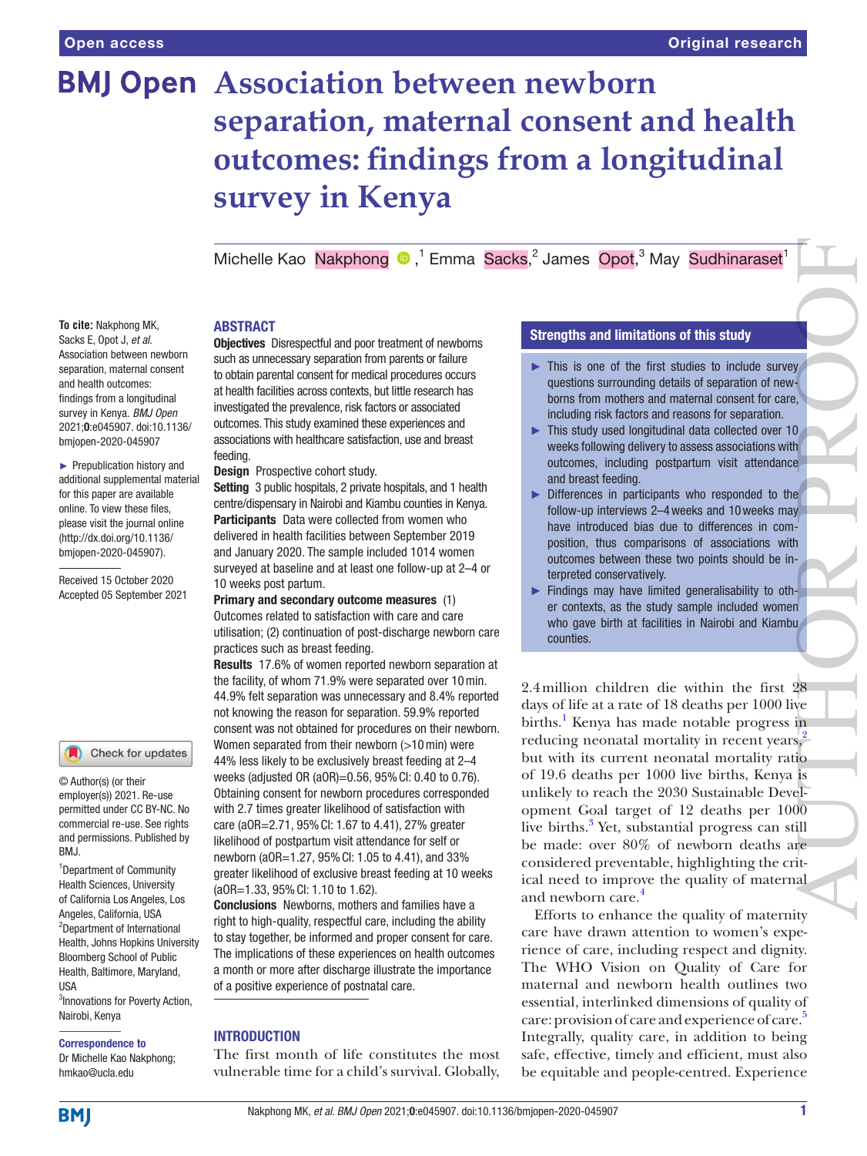# **BMJ Open Association between newborn separation, maternal consent and health outcomes: findings from a longitudinal survey in Kenya**

MichelleKao Nakphong <sup>®</sup>,<sup>1</sup> Emma Sacks,<sup>2</sup> James Opot,<sup>3</sup> May Sudhinaraset<sup>1</sup>

#### ABSTRACT

Sacks E, Opot J, *et al*. Association between newborn separation, maternal consent and health outcomes: findings from a longitudinal survey in Kenya. *BMJ Open* 2021;0:e045907. doi:10.1136/ bmjopen-2020-045907

► Prepublication history and additional supplemental material for this paper are available online. To view these files, please visit the journal online [\(http://dx.doi.org/10.1136/](http://dx.doi.org/10.1136/bmjopen-2020-045907) [bmjopen-2020-045907](http://dx.doi.org/10.1136/bmjopen-2020-045907)).

**To cite:** Nakphong MK,

Received 15 October 2020 Accepted 05 September 2021

#### Check for updates

© Author(s) (or their employer(s)) 2021. Re-use permitted under CC BY-NC. No commercial re-use. See rights and permissions. Published by BMJ.

<sup>1</sup>Department of Community Health Sciences, University of California Los Angeles, Los Angeles, California, USA 2 Department of International Health, Johns Hopkins University Bloomberg School of Public Health, Baltimore, Maryland, USA 3 Innovations for Poverty Action,

Nairobi, Kenya

#### Correspondence to

Dr Michelle Kao Nakphong; hmkao@ucla.edu

**Objectives** Disrespectful and poor treatment of newborns such as unnecessary separation from parents or failure to obtain parental consent for medical procedures occurs at health facilities across contexts, but little research has investigated the prevalence, risk factors or associated outcomes. This study examined these experiences and associations with healthcare satisfaction, use and breast feeding.

Design Prospective cohort study.

Setting 3 public hospitals, 2 private hospitals, and 1 health centre/dispensary in Nairobi and Kiambu counties in Kenya. Participants Data were collected from women who delivered in health facilities between September 2019 and January 2020. The sample included 1014 women surveyed at baseline and at least one follow-up at 2–4 or 10 weeks post partum.

Primary and secondary outcome measures (1) Outcomes related to satisfaction with care and care utilisation; (2) continuation of post-discharge newborn care practices such as breast feeding.

Results 17.6% of women reported newborn separation at the facility, of whom 71.9% were separated over 10min. 44.9% felt separation was unnecessary and 8.4% reported not knowing the reason for separation. 59.9% reported consent was not obtained for procedures on their newborn. Women separated from their newborn (>10 min) were 44% less likely to be exclusively breast feeding at 2–4 weeks (adjusted OR (aOR)=0.56, 95%CI: 0.40 to 0.76). Obtaining consent for newborn procedures corresponded with 2.7 times greater likelihood of satisfaction with care (aOR=2.71, 95%CI: 1.67 to 4.41), 27% greater likelihood of postpartum visit attendance for self or newborn (aOR=1.27, 95%CI: 1.05 to 4.41), and 33% greater likelihood of exclusive breast feeding at 10 weeks (aOR=1.33, 95%CI: 1.10 to 1.62).

Conclusions Newborns, mothers and families have a right to high-quality, respectful care, including the ability to stay together, be informed and proper consent for care. The implications of these experiences on health outcomes a month or more after discharge illustrate the importance of a positive experience of postnatal care.

### INTRODUCTION

The first month of life constitutes the most vulnerable time for a child's survival. Globally,

# Strengths and limitations of this study

- $\blacktriangleright$  This is one of the first studies to include survey questions surrounding details of separation of newborns from mothers and maternal consent for care, including risk factors and reasons for separation.
- ► This study used longitudinal data collected over 10 weeks following delivery to assess associations with outcomes, including postpartum visit attendance and breast feeding.
- ► Differences in participants who responded to the follow-up interviews 2–4weeks and 10weeks may have introduced bias due to differences in composition, thus comparisons of associations with outcomes between these two points should be interpreted conservatively.
- ► Findings may have limited generalisability to other contexts, as the study sample included women who gave birth at facilities in Nairobi and Kiambu counties.

2.4million children die within the first 28 days of life at a rate of 18 deaths per 1000 live births.<sup>1</sup> Kenya has made notable progress in reducing neonatal mortality in recent years,<sup>2</sup> but with its current neonatal mortality ratio of 19.6 deaths per 1000 live births, Kenya is unlikely to reach the 2030 Sustainable Development Goal target of 12 deaths per 1000 live births.<sup>[3](#page-11-2)</sup> Yet, substantial progress can still be made: over 80% of newborn deaths are considered preventable, highlighting the critical need to improve the quality of maternal and newborn care.<sup>[4](#page-11-3)</sup> AU[TH](#page-11-1)OR PROPERTY AND SUPERINTENSITY OF THE REAL PROPERTY AND REAL PROPERTY AND REAL PROPERTY AND REAL PROPERTY AND REAL PROPERTY AND REAL PROPERTY AND REAL PROPERTY AND REAL PROPERTY AND REAL PROPERTY AND REAL PROPERTY AND

Efforts to enhance the quality of maternity care have drawn attention to women's experience of care, including respect and dignity. The WHO Vision on Quality of Care for maternal and newborn health outlines two essential, interlinked dimensions of quality of care: provision of care and experience of care.<sup>5</sup> Integrally, quality care, in addition to being safe, effective, timely and efficient, must also be equitable and people-centred. Experience

**BMI**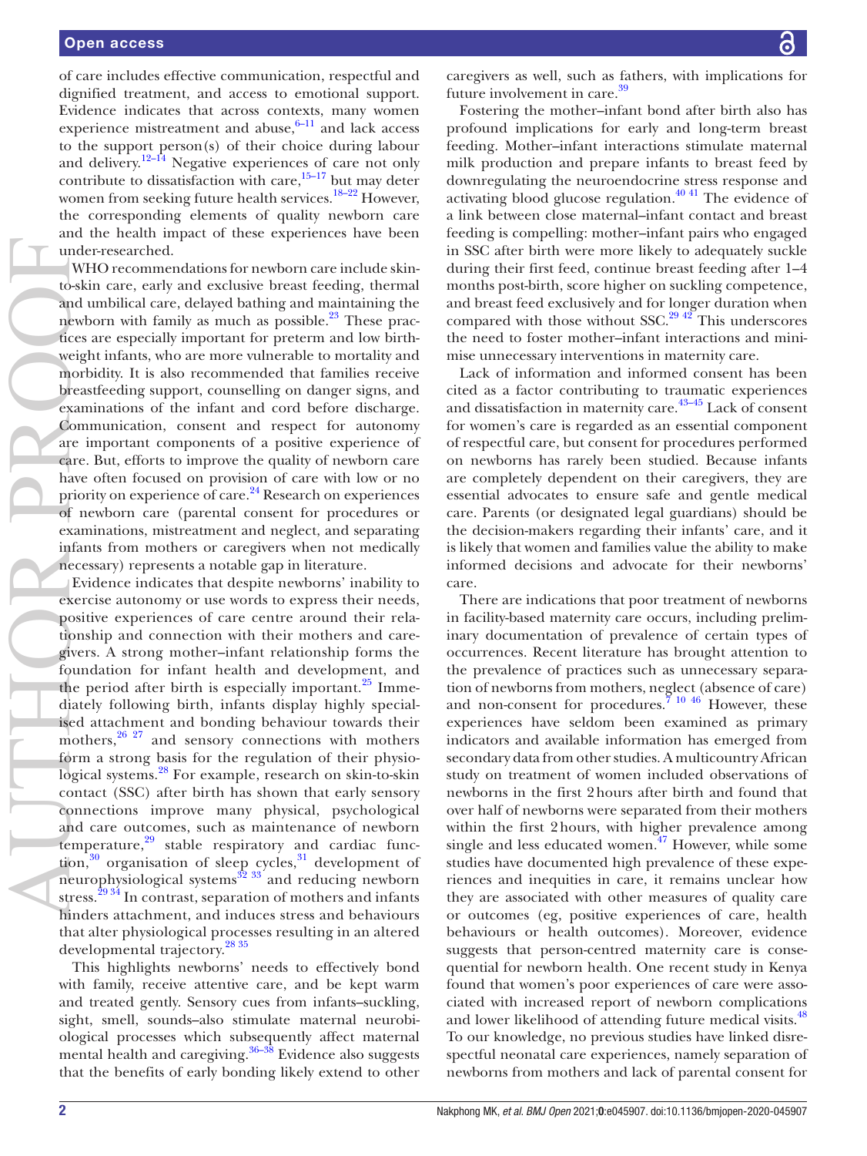of care includes effective communication, respectful and dignified treatment, and access to emotional support. Evidence indicates that across contexts, many women experience mistreatment and abuse, $6-11$  and lack access to the support person(s) of their choice during labour and delivery.<sup>[12–14](#page-11-6)</sup> Negative experiences of care not only contribute to dissatisfaction with care, $15-17$  but may deter women from seeking future health services.<sup>18–22</sup> However, the corresponding elements of quality newborn care and the health impact of these experiences have been under-researched.

WHO recommendations for newborn care include skinto-skin care, early and exclusive breast feeding, thermal and umbilical care, delayed bathing and maintaining the newborn with family as much as possible. $23$  These practices are especially important for preterm and low birthweight infants, who are more vulnerable to mortality and morbidity. It is also recommended that families receive breastfeeding support, counselling on danger signs, and examinations of the infant and cord before discharge. Communication, consent and respect for autonomy are important components of a positive experience of care. But, efforts to improve the quality of newborn care have often focused on provision of care with low or no priority on experience of care.[24](#page-12-2) Research on experiences of newborn care (parental consent for procedures or examinations, mistreatment and neglect, and separating infants from mothers or caregivers when not medically necessary) represents a notable gap in literature. AUTHOR PROPERTY AND THE CALL OF THE CALL OF THE CALL OF THE CALL OF THE CALL OF THE CALL OF THE CALL OF THE CALL OF THE CALL OF THE CALL OF THE CALL OF THE CALL OF THE CALL OF THE CALL OF THE CALL OF THE CALL OF THE CALL O

Evidence indicates that despite newborns' inability to exercise autonomy or use words to express their needs, positive experiences of care centre around their relationship and connection with their mothers and caregivers. A strong mother–infant relationship forms the foundation for infant health and development, and the period after birth is especially important. $^{25}$  Immediately following birth, infants display highly specialised attachment and bonding behaviour towards their mothers, $26\frac{27}{12}$  and sensory connections with mothers form a strong basis for the regulation of their physiological systems.<sup>28</sup> For example, research on skin-to-skin contact (SSC) after birth has shown that early sensory connections improve many physical, psychological and care outcomes, such as maintenance of newborn temperature, $29$  stable respiratory and cardiac function, $30$  organisation of sleep cycles, $31$  development of neurophysiological systems $\frac{32}{32}$  and reducing newborn stress.<sup>29 34</sup> In contrast, separation of mothers and infants hinders attachment, and induces stress and behaviours that alter physiological processes resulting in an altered developmental trajectory.[28 35](#page-12-5)

This highlights newborns' needs to effectively bond with family, receive attentive care, and be kept warm and treated gently. Sensory cues from infants–suckling, sight, smell, sounds–also stimulate maternal neurobiological processes which subsequently affect maternal mental health and caregiving. $36-38$  Evidence also suggests that the benefits of early bonding likely extend to other

caregivers as well, such as fathers, with implications for future involvement in care.<sup>[39](#page-12-11)</sup>

Fostering the mother–infant bond after birth also has profound implications for early and long-term breast feeding. Mother–infant interactions stimulate maternal milk production and prepare infants to breast feed by downregulating the neuroendocrine stress response and activating blood glucose regulation.<sup>40 41</sup> The evidence of a link between close maternal–infant contact and breast feeding is compelling: mother–infant pairs who engaged in SSC after birth were more likely to adequately suckle during their first feed, continue breast feeding after 1–4 months post-birth, score higher on suckling competence, and breast feed exclusively and for longer duration when compared with those without SSC. $^{29\frac{42}{12}}$  This underscores the need to foster mother–infant interactions and minimise unnecessary interventions in maternity care.

Lack of information and informed consent has been cited as a factor contributing to traumatic experiences and dissatisfaction in maternity care.[43–45](#page-12-13) Lack of consent for women's care is regarded as an essential component of respectful care, but consent for procedures performed on newborns has rarely been studied. Because infants are completely dependent on their caregivers, they are essential advocates to ensure safe and gentle medical care. Parents (or designated legal guardians) should be the decision-makers regarding their infants' care, and it is likely that women and families value the ability to make informed decisions and advocate for their newborns' care.

There are indications that poor treatment of newborns in facility-based maternity care occurs, including preliminary documentation of prevalence of certain types of occurrences. Recent literature has brought attention to the prevalence of practices such as unnecessary separation of newborns from mothers, neglect (absence of care) and non-consent for procedures.<sup>7</sup> <sup>10</sup> <sup>46</sup> However, these experiences have seldom been examined as primary indicators and available information has emerged from secondary data from other studies. A multicountry African study on treatment of women included observations of newborns in the first 2hours after birth and found that over half of newborns were separated from their mothers within the first 2hours, with higher prevalence among single and less educated women.<sup>47</sup> However, while some studies have documented high prevalence of these experiences and inequities in care, it remains unclear how they are associated with other measures of quality care or outcomes (eg, positive experiences of care, health behaviours or health outcomes). Moreover, evidence suggests that person-centred maternity care is consequential for newborn health. One recent study in Kenya found that women's poor experiences of care were associated with increased report of newborn complications and lower likelihood of attending future medical visits.<sup>[48](#page-12-15)</sup> To our knowledge, no previous studies have linked disrespectful neonatal care experiences, namely separation of newborns from mothers and lack of parental consent for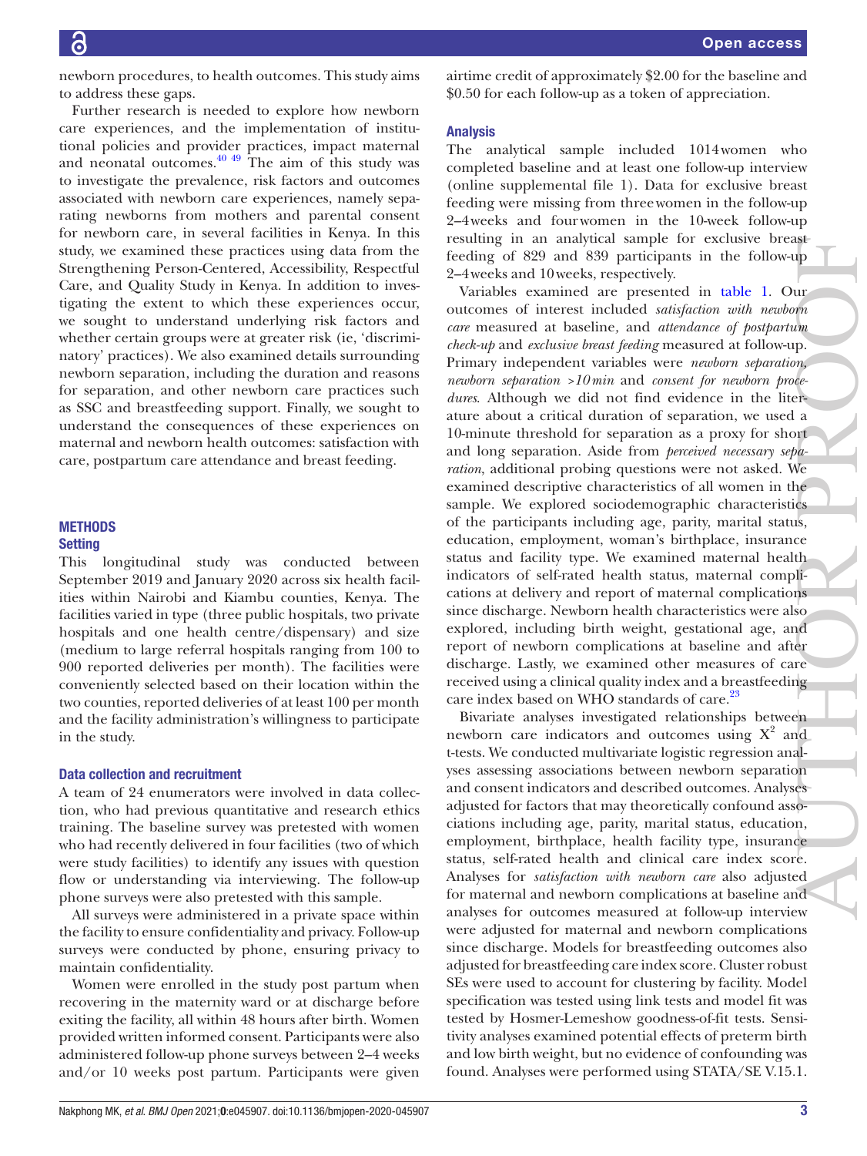newborn procedures, to health outcomes. This study aims to address these gaps.

Further research is needed to explore how newborn care experiences, and the implementation of institutional policies and provider practices, impact maternal and neonatal outcomes. $40\frac{49}{1}$  The aim of this study was to investigate the prevalence, risk factors and outcomes associated with newborn care experiences, namely separating newborns from mothers and parental consent for newborn care, in several facilities in Kenya. In this study, we examined these practices using data from the Strengthening Person-Centered, Accessibility, Respectful Care, and Quality Study in Kenya. In addition to investigating the extent to which these experiences occur, we sought to understand underlying risk factors and whether certain groups were at greater risk (ie, 'discriminatory' practices). We also examined details surrounding newborn separation, including the duration and reasons for separation, and other newborn care practices such as SSC and breastfeeding support. Finally, we sought to understand the consequences of these experiences on maternal and newborn health outcomes: satisfaction with care, postpartum care attendance and breast feeding.

### **METHODS Setting**

This longitudinal study was conducted between September 2019 and January 2020 across six health facilities within Nairobi and Kiambu counties, Kenya. The facilities varied in type (three public hospitals, two private hospitals and one health centre/dispensary) and size (medium to large referral hospitals ranging from 100 to 900 reported deliveries per month). The facilities were conveniently selected based on their location within the two counties, reported deliveries of at least 100 per month and the facility administration's willingness to participate in the study.

#### Data collection and recruitment

A team of 24 enumerators were involved in data collection, who had previous quantitative and research ethics training. The baseline survey was pretested with women who had recently delivered in four facilities (two of which were study facilities) to identify any issues with question flow or understanding via interviewing. The follow-up phone surveys were also pretested with this sample.

All surveys were administered in a private space within the facility to ensure confidentiality and privacy. Follow-up surveys were conducted by phone, ensuring privacy to maintain confidentiality.

Women were enrolled in the study post partum when recovering in the maternity ward or at discharge before exiting the facility, all within 48 hours after birth. Women provided written informed consent. Participants were also administered follow-up phone surveys between 2–4 weeks and/or 10 weeks post partum. Participants were given

### Analysis

The analytical sample included 1014women who completed baseline and at least one follow-up interview [\(online supplemental file 1](https://dx.doi.org/10.1136/bmjopen-2020-045907)). Data for exclusive breast feeding were missing from threewomen in the follow-up 2–4weeks and fourwomen in the 10-week follow-up resulting in an analytical sample for exclusive breast feeding of 829 and 839 participants in the follow-up 2–4weeks and 10weeks, respectively.

Variables examined are presented in [table](#page-3-0) 1. Our outcomes of interest included *satisfaction with newborn care* measured at baseline*,* and *attendance of postpartum check-up* and *exclusive breast feeding* measured at follow-up. Primary independent variables were *newborn separation, newborn separation >10min* and *consent for newborn procedures*. Although we did not find evidence in the literature about a critical duration of separation, we used a 10-minute threshold for separation as a proxy for short and long separation. Aside from *perceived necessary separation*, additional probing questions were not asked. We examined descriptive characteristics of all women in the sample. We explored sociodemographic characteristics of the participants including age, parity, marital status, education, employment, woman's birthplace, insurance status and facility type. We examined maternal health indicators of self-rated health status, maternal complications at delivery and report of maternal complications since discharge. Newborn health characteristics were also explored, including birth weight, gestational age, and report of newborn complications at baseline and after discharge. Lastly, we examined other measures of care received using a clinical quality index and a breastfeeding care index based on WHO standards of care.<sup>23</sup> resuming in an analysies and 10 because of the statistic measure of the specified of SP2 and 839 participants in the followaly 2–4 weeks and 10 becks, respectively. Curricular technomic of the statistical exist included a

Bivariate analyses investigated relationships between newborn care indicators and outcomes using  $X^2$  and t-tests. We conducted multivariate logistic regression analyses assessing associations between newborn separation and consent indicators and described outcomes. Analyses adjusted for factors that may theoretically confound associations including age, parity, marital status, education, employment, birthplace, health facility type, insurance status, self-rated health and clinical care index score. Analyses for *satisfaction with newborn care* also adjusted for maternal and newborn complications at baseline and analyses for outcomes measured at follow-up interview were adjusted for maternal and newborn complications since discharge. Models for breastfeeding outcomes also adjusted for breastfeeding care index score. Cluster robust SEs were used to account for clustering by facility. Model specification was tested using link tests and model fit was tested by Hosmer-Lemeshow goodness-of-fit tests. Sensitivity analyses examined potential effects of preterm birth and low birth weight, but no evidence of confounding was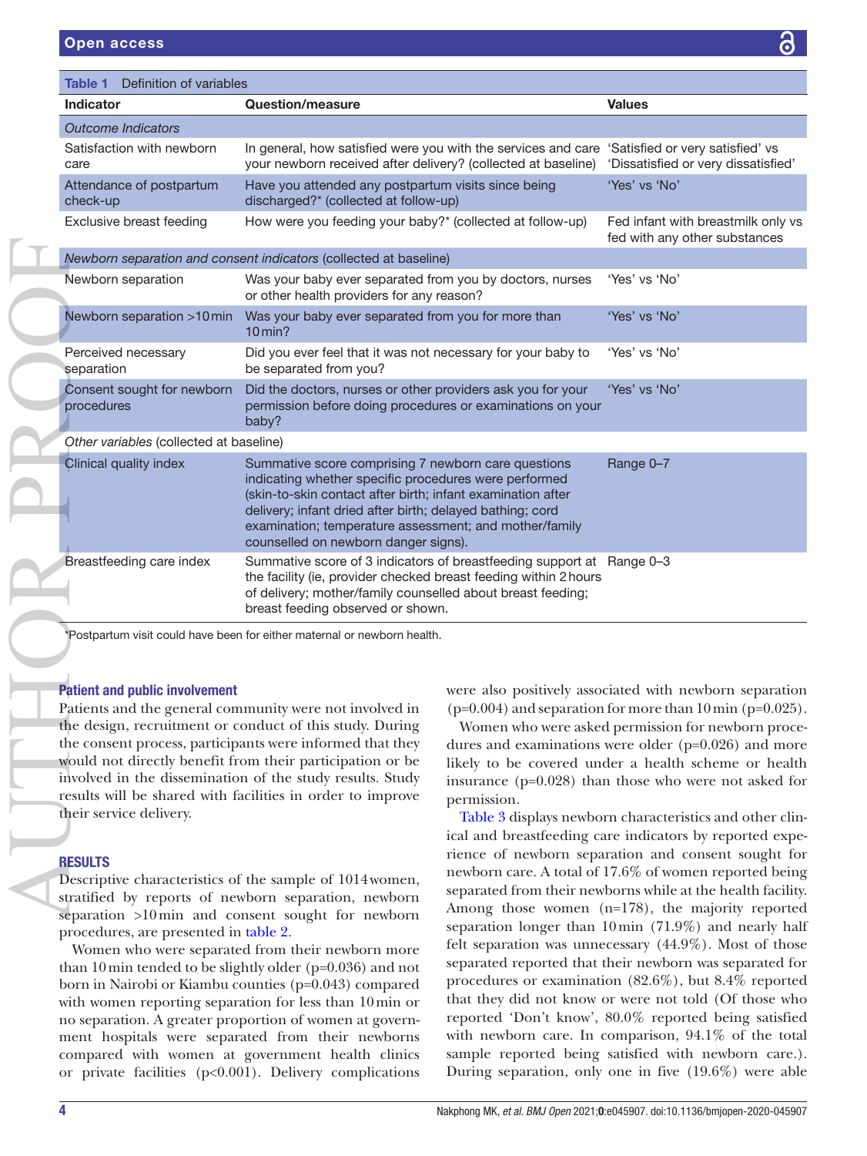<span id="page-3-0"></span>

| Definition of variables<br>Table 1                                                 |                                                                                                                                                                                                                                                                                                                                                                                                                                                                                                                                                   |             |                                                                                                                                                                                                                                                                                                                                                                                                                                                                                                                                                                                                                                                                                                                                   |
|------------------------------------------------------------------------------------|---------------------------------------------------------------------------------------------------------------------------------------------------------------------------------------------------------------------------------------------------------------------------------------------------------------------------------------------------------------------------------------------------------------------------------------------------------------------------------------------------------------------------------------------------|-------------|-----------------------------------------------------------------------------------------------------------------------------------------------------------------------------------------------------------------------------------------------------------------------------------------------------------------------------------------------------------------------------------------------------------------------------------------------------------------------------------------------------------------------------------------------------------------------------------------------------------------------------------------------------------------------------------------------------------------------------------|
| <b>Indicator</b>                                                                   | Question/measure                                                                                                                                                                                                                                                                                                                                                                                                                                                                                                                                  |             | <b>Values</b>                                                                                                                                                                                                                                                                                                                                                                                                                                                                                                                                                                                                                                                                                                                     |
| <b>Outcome Indicators</b>                                                          |                                                                                                                                                                                                                                                                                                                                                                                                                                                                                                                                                   |             |                                                                                                                                                                                                                                                                                                                                                                                                                                                                                                                                                                                                                                                                                                                                   |
| Satisfaction with newborn<br>care                                                  | In general, how satisfied were you with the services and care 'Satisfied or very satisfied' vs<br>your newborn received after delivery? (collected at baseline)                                                                                                                                                                                                                                                                                                                                                                                   |             | 'Dissatisfied or very dissatisfied'                                                                                                                                                                                                                                                                                                                                                                                                                                                                                                                                                                                                                                                                                               |
| Attendance of postpartum<br>check-up                                               | Have you attended any postpartum visits since being<br>discharged?* (collected at follow-up)                                                                                                                                                                                                                                                                                                                                                                                                                                                      |             | 'Yes' vs 'No'                                                                                                                                                                                                                                                                                                                                                                                                                                                                                                                                                                                                                                                                                                                     |
| Exclusive breast feeding                                                           | How were you feeding your baby?* (collected at follow-up)                                                                                                                                                                                                                                                                                                                                                                                                                                                                                         |             | Fed infant with breastmilk only vs<br>fed with any other substances                                                                                                                                                                                                                                                                                                                                                                                                                                                                                                                                                                                                                                                               |
|                                                                                    | Newborn separation and consent indicators (collected at baseline)                                                                                                                                                                                                                                                                                                                                                                                                                                                                                 |             |                                                                                                                                                                                                                                                                                                                                                                                                                                                                                                                                                                                                                                                                                                                                   |
| Newborn separation                                                                 | Was your baby ever separated from you by doctors, nurses<br>or other health providers for any reason?                                                                                                                                                                                                                                                                                                                                                                                                                                             |             | 'Yes' vs 'No'                                                                                                                                                                                                                                                                                                                                                                                                                                                                                                                                                                                                                                                                                                                     |
| Newborn separation >10 min                                                         | Was your baby ever separated from you for more than<br>$10$ min?                                                                                                                                                                                                                                                                                                                                                                                                                                                                                  |             | 'Yes' vs 'No'                                                                                                                                                                                                                                                                                                                                                                                                                                                                                                                                                                                                                                                                                                                     |
| Perceived necessary<br>separation                                                  | Did you ever feel that it was not necessary for your baby to<br>be separated from you?                                                                                                                                                                                                                                                                                                                                                                                                                                                            |             | 'Yes' vs 'No'                                                                                                                                                                                                                                                                                                                                                                                                                                                                                                                                                                                                                                                                                                                     |
| Consent sought for newborn<br>procedures                                           | Did the doctors, nurses or other providers ask you for your<br>permission before doing procedures or examinations on your<br>baby?                                                                                                                                                                                                                                                                                                                                                                                                                |             | 'Yes' vs 'No'                                                                                                                                                                                                                                                                                                                                                                                                                                                                                                                                                                                                                                                                                                                     |
| Other variables (collected at baseline)                                            |                                                                                                                                                                                                                                                                                                                                                                                                                                                                                                                                                   |             |                                                                                                                                                                                                                                                                                                                                                                                                                                                                                                                                                                                                                                                                                                                                   |
| Clinical quality index                                                             | Summative score comprising 7 newborn care questions<br>indicating whether specific procedures were performed<br>(skin-to-skin contact after birth; infant examination after<br>delivery; infant dried after birth; delayed bathing; cord<br>examination; temperature assessment; and mother/family<br>counselled on newborn danger signs).                                                                                                                                                                                                        |             | Range 0-7                                                                                                                                                                                                                                                                                                                                                                                                                                                                                                                                                                                                                                                                                                                         |
| Breastfeeding care index                                                           | Summative score of 3 indicators of breastfeeding support at Range 0-3<br>the facility (ie, provider checked breast feeding within 2 hours<br>of delivery; mother/family counselled about breast feeding;<br>breast feeding observed or shown.                                                                                                                                                                                                                                                                                                     |             |                                                                                                                                                                                                                                                                                                                                                                                                                                                                                                                                                                                                                                                                                                                                   |
|                                                                                    | Postpartum visit could have been for either maternal or newborn health.                                                                                                                                                                                                                                                                                                                                                                                                                                                                           |             |                                                                                                                                                                                                                                                                                                                                                                                                                                                                                                                                                                                                                                                                                                                                   |
| <b>Patient and public involvement</b><br>their service delivery.<br><b>RESULTS</b> | Patients and the general community were not involved in<br>the design, recruitment or conduct of this study. During<br>the consent process, participants were informed that they<br>would not directly benefit from their participation or be<br>involved in the dissemination of the study results. Study<br>results will be shared with facilities in order to improve<br>Descriptive characteristics of the sample of 1014 women,<br>stratified by reports of newborn separation, newborn<br>separation >10 min and consent sought for newborn | permission. | were also positively associated with newborn separation<br>$(p=0.004)$ and separation for more than $10 \text{min}$ ( $p=0.025$ ).<br>Women who were asked permission for newborn proce-<br>dures and examinations were older (p=0.026) and more<br>likely to be covered under a health scheme or health<br>insurance ( $p=0.028$ ) than those who were not asked for<br>Table 3 displays newborn characteristics and other clin-<br>ical and breastfeeding care indicators by reported expe-<br>rience of newborn separation and consent sought for<br>newborn care. A total of 17.6% of women reported being<br>separated from their newborns while at the health facility.<br>Among those women (n=178), the majority reported |

#### Patient and public involvement

# **RESULTS**

Descriptive characteristics of the sample of 1014women, stratified by reports of newborn separation, newborn separation >10min and consent sought for newborn procedures, are presented in [table](#page-4-0) 2.

Women who were separated from their newborn more than 10min tended to be slightly older (p=0.036) and not born in Nairobi or Kiambu counties (p=0.043) compared with women reporting separation for less than 10min or no separation. A greater proportion of women at government hospitals were separated from their newborns compared with women at government health clinics or private facilities (p<0.001). Delivery complications

[Table](#page-6-0) 3 displays newborn characteristics and other clinical and breastfeeding care indicators by reported experience of newborn separation and consent sought for newborn care. A total of 17.6% of women reported being separated from their newborns while at the health facility. Among those women (n=178), the majority reported separation longer than 10min (71.9%) and nearly half felt separation was unnecessary (44.9%). Most of those separated reported that their newborn was separated for procedures or examination (82.6%), but 8.4% reported that they did not know or were not told (Of those who reported 'Don't know', 80.0% reported being satisfied with newborn care. In comparison, 94.1% of the total sample reported being satisfied with newborn care.). During separation, only one in five (19.6%) were able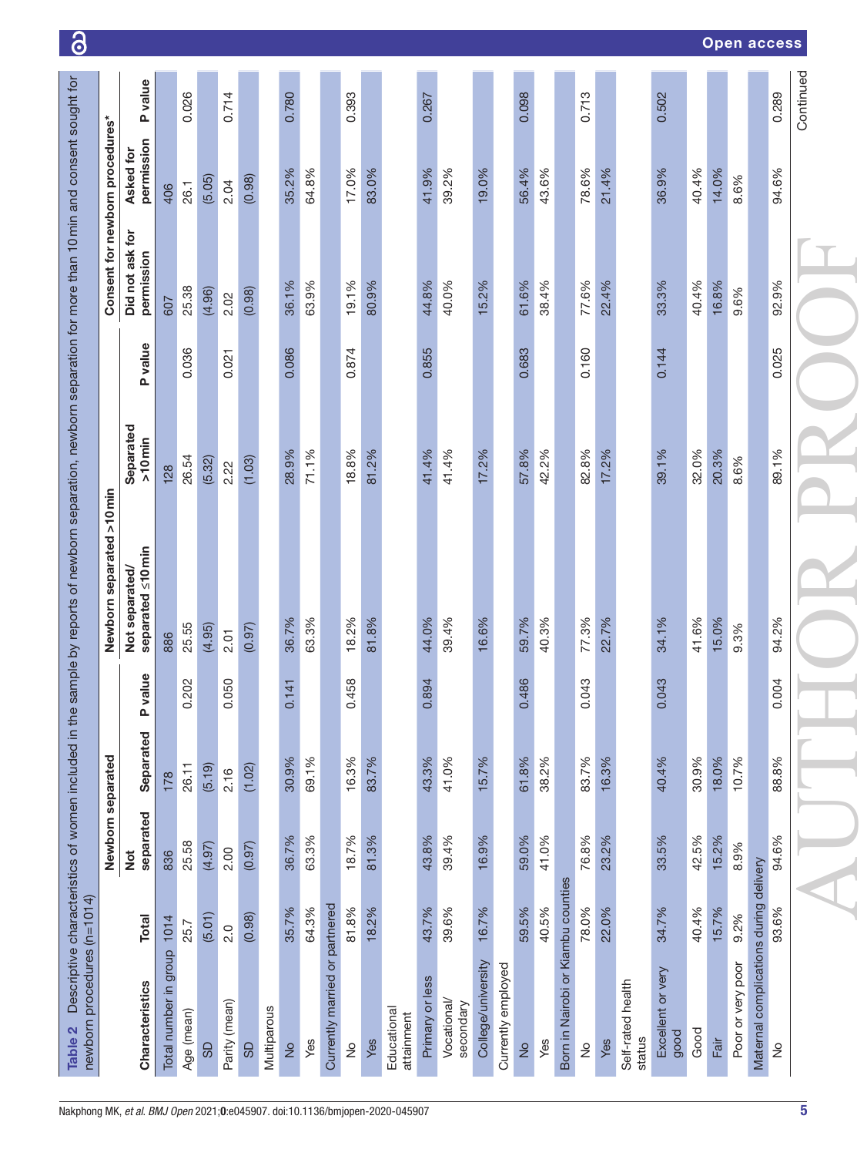<span id="page-4-0"></span>

|                                 |                                     |                            |            |        |               |        |             |               |       |                   |                            |       |                           |                 |                          |                    |                    |                               |       |                                    |               |       |                             |                           |       |       | Open access       |                                        |               |           |
|---------------------------------|-------------------------------------|----------------------------|------------|--------|---------------|--------|-------------|---------------|-------|-------------------|----------------------------|-------|---------------------------|-----------------|--------------------------|--------------------|--------------------|-------------------------------|-------|------------------------------------|---------------|-------|-----------------------------|---------------------------|-------|-------|-------------------|----------------------------------------|---------------|-----------|
|                                 | P value                             |                            | 0.026      |        | 0.714         |        |             | 0.780         |       |                   | 0.393                      |       |                           | 0.267           |                          |                    |                    | 0.098                         |       |                                    | 0.713         |       |                             | 0.502                     |       |       |                   |                                        | 0.289         | Continued |
|                                 | permission<br>Asked for             | 406                        | 26.1       | (5.05) | 2.04          | (0.98) |             | 35.2%         | 64.8% |                   | 17.0%                      | 83.0% |                           | 41.9%           | 39.2%                    | 19.0%              |                    | 56.4%                         | 43.6% |                                    | 78.6%         | 21.4% |                             | 36.9%                     | 40.4% | 14.0% | 8.6%              |                                        | 94.6%         |           |
| Consent for newborn procedures* | Did not ask for<br>permission       | 607                        | 25.38      | (4.96) | 2.02          | (0.98) |             | 36.1%         | 63.9% |                   | 19.1%                      | 80.9% |                           | 44.8%           | 40.0%                    | 15.2%              |                    | 61.6%                         | 38.4% |                                    | 77.6%         | 22.4% |                             | 33.3%                     | 40.4% | 16.8% | 9.6%              |                                        | 92.9%         |           |
|                                 | P value                             |                            | 0.036      |        | 0.021         |        |             | 0.086         |       |                   | 0.874                      |       |                           | 0.855           |                          |                    |                    | 0.683                         |       |                                    | 0.160         |       |                             | 0.144                     |       |       |                   |                                        | 0.025         |           |
|                                 | Separated<br>$>10$ min              | 128                        | 26.54      | (5.32) | 2.22          | (1.03) |             | 28.9%         | 71.1% |                   | 18.8%                      | 81.2% |                           | 41.4%           | 41.4%                    | 17.2%              |                    | 57.8%                         | 42.2% |                                    | 82.8%         | 17.2% |                             | 39.1%                     | 32.0% | 20.3% | 8.6%              |                                        | 89.1%         |           |
| Newborn separated >10 min       | separated ≤10 min<br>Not separated/ | 886                        | 25.55      | (4.95) | 2.01          | (0.97) |             | 36.7%         | 63.3% |                   | 18.2%                      | 81.8% |                           | 44.0%           | 39.4%                    | 16.6%              |                    | 59.7%                         | 40.3% |                                    | 77.3%         | 22.7% |                             | 34.1%                     | 41.6% | 15.0% | 9.3%              |                                        | 94.2%         |           |
|                                 | 9n<br><b>P</b> val                  |                            | 0.202      |        | 0.050         |        |             | 0.141         |       |                   | $\infty$<br>0.45           |       |                           | 0.894           |                          |                    |                    | $\boldsymbol{\omega}$<br>0.48 |       |                                    | 0.043         |       |                             | <u>က</u><br>0.04          |       |       |                   |                                        | 0.004         |           |
|                                 | Separated                           | 178                        | 26.11      | (5.19) | 2.16          | (1.02) |             | 30.9%         | 69.1% |                   | 16.3%                      | 83.7% |                           | 43.3%           | 41.0%                    | 15.7%              |                    | 61.8%                         | 38.2% |                                    | 83.7%         | 16.3% |                             | 40.4%                     | 30.9% | 18.0% | 10.7%             |                                        | 88.8%         |           |
| Newborn separated               | separated<br>Not                    | 836                        | 25.58      | (4.97) | 2.00          | (0.97) |             | 36.7%         | 63.3% |                   | 18.7%                      | 81.3% |                           | 43.8%           | 39.4%                    | 16.9%              |                    | 59.0%                         | 41.0% |                                    | 76.8%         | 23.2% |                             | 33.5%                     | 42.5% | 15.2% | 8.9%              |                                        | 94.6%         |           |
|                                 | <b>Total</b>                        |                            | 25.7       | (5.01) | 2.0           | (0.98) |             | 35.7%         | 64.3% | or partnered      | 81.8%                      | 18.2% |                           | 43.7%           | 39.6%                    | 16.7%              |                    | 59.5%                         | 40.5% |                                    | 78.0%         | 22.0% |                             | 34.7%                     | 40.4% | 15.7% | 9.2%              |                                        | 93.6%         |           |
|                                 | Characteristics                     | Total number in group 1014 | Age (mean) | GD     | Parity (mean) | 9S     | Multiparous | $\frac{1}{2}$ | Yes   | Currently married | $\stackrel{\circ}{\simeq}$ | Yes   | Educational<br>attainment | Primary or less | Vocational/<br>secondary | College/university | Currently employed | $\frac{1}{2}$                 | Yes   | Born in Nairobi or Kiambu counties | $\frac{1}{2}$ | Yes   | Self-rated health<br>status | Excellent or very<br>good | Good  | Fair  | Poor or very poor | Maternal complications during delivery | $\frac{1}{2}$ |           |

ി ഒ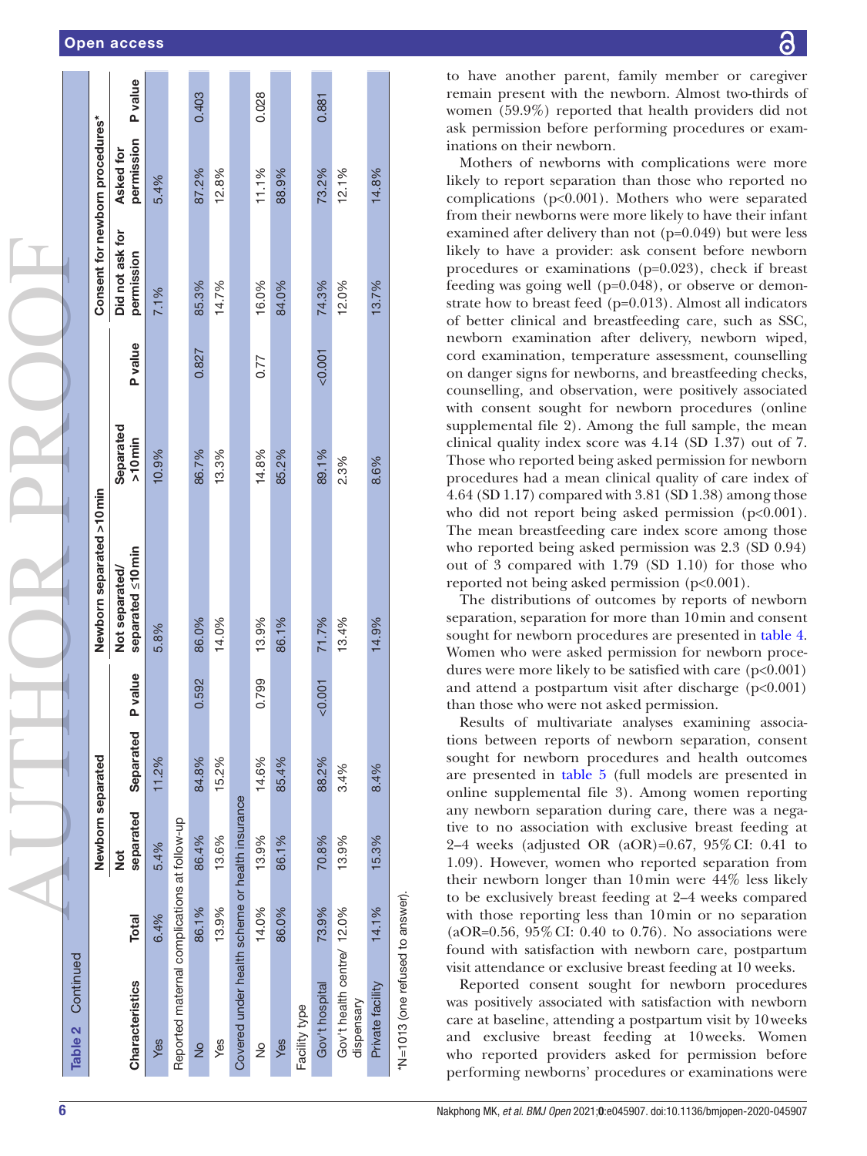|  |  | <b>Open access</b> |
|--|--|--------------------|

| Continued<br>Table 2                            |              |                   |           |                |                                     |                        |         |                                 |                         |         |
|-------------------------------------------------|--------------|-------------------|-----------|----------------|-------------------------------------|------------------------|---------|---------------------------------|-------------------------|---------|
|                                                 |              | Newborn separated |           |                | Newborn separated >10 min           |                        |         | Consent for newborn procedures* |                         |         |
| Characteristics                                 | <b>Total</b> | separated<br>ŏ    | Separated | <b>P</b> value | separated <10 min<br>Not separated/ | Separated<br>$>10$ min | P value | Did not ask for<br>permission   | permission<br>Asked for | P value |
| Yes                                             | 6.4%         | 5.4%              | 11.2%     |                | 5.8%                                | 10.9%                  |         | 7.1%                            | 5.4%                    |         |
| Reported maternal complications at follow-up    |              |                   |           |                |                                     |                        |         |                                 |                         |         |
| $\frac{1}{2}$                                   | 86.1%        | 86.4%             | 84.8%     | 0.592          | 86.0%                               | 86.7%                  | 0.827   | 85.3%                           | 87.2%                   | 0.403   |
| Yes                                             | 13.9%        | 13.6%             | 15.2%     |                | 14.0%                               | 13.3%                  |         | 14.7%                           | 12.8%                   |         |
| Covered under health scheme or health insurance |              |                   |           |                |                                     |                        |         |                                 |                         |         |
| $\frac{1}{2}$                                   | 14.0%        | 13.9%             | 14.6%     | 0.799          | 13.9%                               | 14.8%                  | 0.77    | 16.0%                           | 11.1%                   | 0.028   |
| Yes                                             | 86.0%        | 86.1%             | 85.4%     |                | 86.1%                               | 85.2%                  |         | 84.0%                           | 88.9%                   |         |
| Facility type                                   |              |                   |           |                |                                     |                        |         |                                 |                         |         |
| Gov't hospital                                  | 73.9%        | 70.8%             | 88.2%     | $-0.001$       | 71.7%                               | 89.1%                  | 0.001   | 74.3%                           | 73.2%                   | 0.881   |
| Gov't health centre/ 12.0%<br>dispensary        |              | 13.9%             | 3.4%      |                | 13.4%                               | 2.3%                   |         | 12.0%                           | 12.1%                   |         |
| Private facility                                | 14.1%        | 15.3%             | 8.4%      |                | 14.9%                               | 8.6%                   |         | 13.7%                           | 14.8%                   |         |
| *N=1013 (one refused to answer).                |              |                   |           |                |                                     |                        |         |                                 |                         |         |

႕

to have another parent, family member or caregiver remain present with the newborn. Almost two-thirds of women (59.9%) reported that health providers did not ask permission before performing procedures or exam inations on their newborn.

Mothers of newborns with complications were more likely to report separation than those who reported no complications ( $p<0.001$ ). Mothers who were separated from their newborns were more likely to have their infant examined after delivery than not (p=0.049) but were less likely to have a provider: ask consent before newborn procedures or examinations (p=0.023), check if breast feeding was going well (p=0.048), or observe or demon strate how to breast feed (p=0.013). Almost all indicators of better clinical and breastfeeding care, such as SSC, newborn examination after delivery, newborn wiped, cord examination, temperature assessment, counselling on danger signs for newborns, and breastfeeding checks, counselling, and observation, were positively associated with consent sought for newborn procedures ([online](https://dx.doi.org/10.1136/bmjopen-2020-045907)  [supplemental file 2\)](https://dx.doi.org/10.1136/bmjopen-2020-045907). Among the full sample, the mean clinical quality index score was 4.14 (SD 1.37) out of 7. Those who reported being asked permission for newborn procedures had a mean clinical quality of care index of 4.64 (SD 1.17) compared with 3.81 (SD 1.38) among those who did not report being asked permission (p<0.001). The mean breastfeeding care index score among those who reported being asked permission was 2.3 (SD 0.94) out of 3 compared with 1.79 (SD 1.10) for those who reported not being asked permission (p<0.001).

The distributions of outcomes by reports of newborn separation, separation for more than 10min and consent sought for newborn procedures are presented in [table](#page-8-0) 4. Women who were asked permission for newborn proce dures were more likely to be satisfied with care  $(p<0.001)$ and attend a postpartum visit after discharge  $(p<0.001)$ than those who were not asked permission.

Results of multivariate analyses examining associations between reports of newborn separation, consent sought for newborn procedures and health outcomes are presented in [table](#page-9-0) 5 (full models are presented in [online supplemental file 3\)](https://dx.doi.org/10.1136/bmjopen-2020-045907). Among women reporting any newborn separation during care, there was a negative to no association with exclusive breast feeding at 2–4 weeks (adjusted OR (aOR)=0.67, 95%CI: 0.41 to 1.09). However, women who reported separation from their newborn longer than 10min were 44% less likely to be exclusively breast feeding at 2–4 weeks compared with those reporting less than 10min or no separation (aOR=0.56, 95%CI: 0.40 to 0.76). No associations were found with satisfaction with newborn care, postpartum visit attendance or exclusive breast feeding at 10 weeks.

Reported consent sought for newborn procedures was positively associated with satisfaction with newborn care at baseline, attending a postpartum visit by 10weeks and exclusive breast feeding at 10weeks. Women who reported providers asked for permission before performing newborns' procedures or examinations were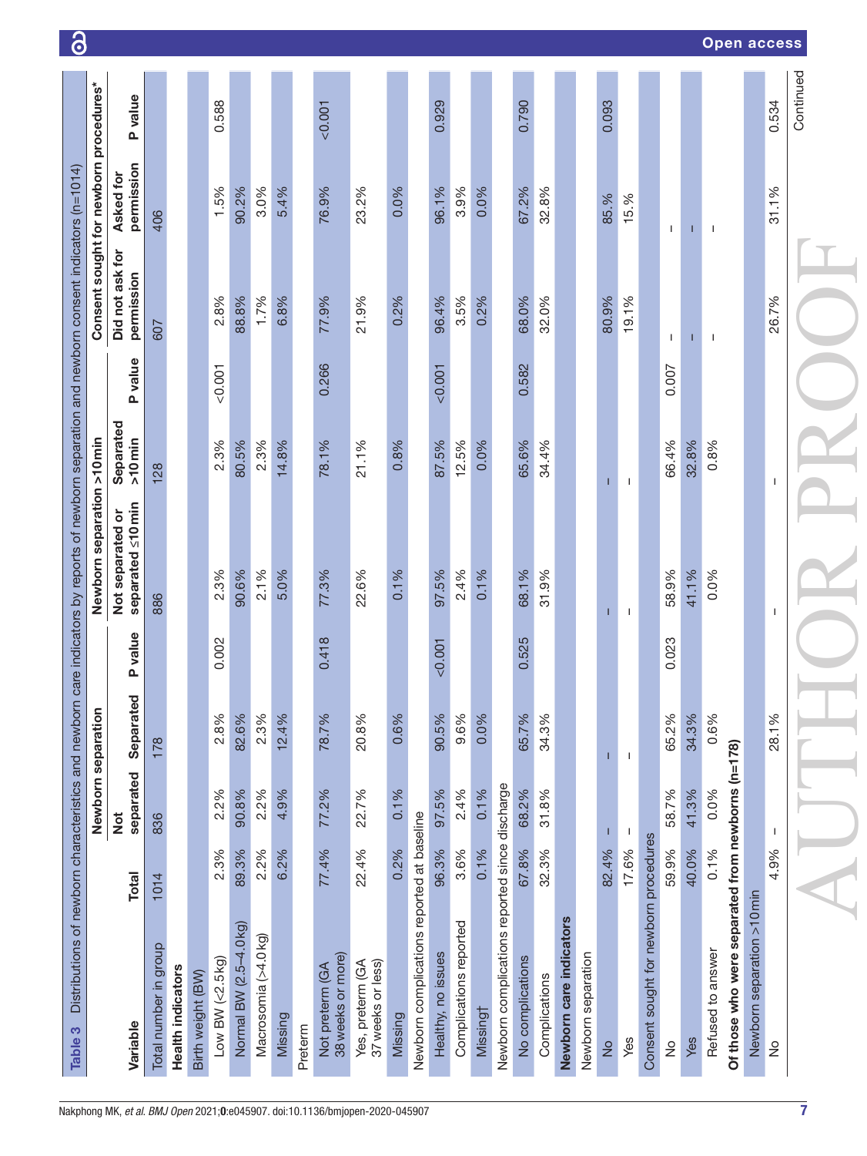<span id="page-6-0"></span>

| Table 3                                           |              |                    |                   |         | Distributions of newborn characteristics and newborn care indicators by reports of newborn separation and newborn consent indicators (n=1014) |                        |         |                                        |                         |           |
|---------------------------------------------------|--------------|--------------------|-------------------|---------|-----------------------------------------------------------------------------------------------------------------------------------------------|------------------------|---------|----------------------------------------|-------------------------|-----------|
|                                                   |              | Newborn separation |                   |         | Newborn separation >10 min                                                                                                                    |                        |         | Consent sought for newborn procedures* |                         |           |
| Variable                                          | <b>Total</b> | separated<br>Not   | შ<br>შ<br>Separat | P value | separated ≤10 min<br>Not separated or                                                                                                         | Separated<br>$>10$ min | P value | Did not ask for<br>permission          | permission<br>Asked for | P value   |
| Total number in group                             | 1014         | 836                | 178               |         | 886                                                                                                                                           | 128                    |         | 607                                    | 406                     |           |
| Health indicators                                 |              |                    |                   |         |                                                                                                                                               |                        |         |                                        |                         |           |
| Birth weight (BW)                                 |              |                    |                   |         |                                                                                                                                               |                        |         |                                        |                         |           |
| Low BW $(<2.5$ Kg)                                | 2.3%         | 2.2%               | 2.8%              | 0.002   | 2.3%                                                                                                                                          | 2.3%                   | < 0.001 | 2.8%                                   | 1.5%                    | 0.588     |
| Normal BW (2.5-4.0 kg)                            | 89.3%        | 90.8%              | 82.6%             |         | 90.6%                                                                                                                                         | 80.5%                  |         | 88.8%                                  | 90.2%                   |           |
| Macrosomia (>4.0kg)                               | 2.2%         | 2.2%               | 2.3%              |         | 2.1%                                                                                                                                          | 2.3%                   |         | 1.7%                                   | 3.0%                    |           |
| Missing                                           | 6.2%         | 4.9%               | 12.4%             |         | 5.0%                                                                                                                                          | 14.8%                  |         | 6.8%                                   | 5.4%                    |           |
| Preterm                                           |              |                    |                   |         |                                                                                                                                               |                        |         |                                        |                         |           |
| 38 weeks or more)<br>Not preterm (GA              | 77.4%        | 77.2%              | 78.7%             | 0.418   | 77.3%                                                                                                                                         | 78.1%                  | 0.266   | 77.9%                                  | 76.9%                   | < 0.001   |
| 37 weeks or less)<br>Yes, preterm (GA             | 22.4%        | 22.7%              | 20.8%             |         | 22.6%                                                                                                                                         | 21.1%                  |         | 21.9%                                  | 23.2%                   |           |
| Missing                                           | 0.2%         | 0.1%               | 0.6%              |         | 0.1%                                                                                                                                          | 0.8%                   |         | 0.2%                                   | 0.0%                    |           |
| Newborn complications reported at baseline        |              |                    |                   |         |                                                                                                                                               |                        |         |                                        |                         |           |
| Healthy, no issues                                | 96.3%        | 97.5%              | 90.5%             | < 0.001 | 97.5%                                                                                                                                         | 87.5%                  | < 0.001 | 96.4%                                  | 96.1%                   | 0.929     |
| Complications reported                            | 3.6%         | 2.4%               | 9.6%              |         | 2.4%                                                                                                                                          | 12.5%                  |         | 3.5%                                   | 3.9%                    |           |
| Missingt                                          | 0.1%         | 0.1%               | 0.0%              |         | 0.1%                                                                                                                                          | 0.0%                   |         | 0.2%                                   | 0.0%                    |           |
| Newborn complications reported since discharge    |              |                    |                   |         |                                                                                                                                               |                        |         |                                        |                         |           |
| No complications                                  | 67.8%        | 68.2%              | 65.7%             | 0.525   | 68.1%                                                                                                                                         | 65.6%                  | 0.582   | 68.0%                                  | 67.2%                   | 0.790     |
| Complications                                     | 32.3%        | 31.8%              | 34.3%             |         | 31.9%                                                                                                                                         | 34.4%                  |         | 32.0%                                  | 32.8%                   |           |
| Newborn care indicators                           |              |                    |                   |         |                                                                                                                                               |                        |         |                                        |                         |           |
| Newborn separation                                |              |                    |                   |         |                                                                                                                                               |                        |         |                                        |                         |           |
| $\frac{1}{2}$                                     | 82.4%        |                    |                   |         |                                                                                                                                               |                        |         | 80.9%                                  | 85.%                    | 0.093     |
| Yes                                               | 17.6%        | -1                 | $\mathbf{I}$      |         | T                                                                                                                                             | $\mathbf{I}$           |         | 19.1%                                  | 15.%                    |           |
| Consent sought for newborn procedures             |              |                    |                   |         |                                                                                                                                               |                        |         |                                        |                         |           |
| $\frac{1}{2}$                                     | 59.9%        | 58.7%              | 65.2%             | 0.023   | 58.9%                                                                                                                                         | 66.4%                  | 0.007   | $\mathbf{I}$                           | Τ.                      |           |
| Yes                                               | 40.0%        | 41.3%              | 34.3%             |         | 41.1%                                                                                                                                         | 32.8%                  |         |                                        | п                       |           |
| Refused to answer                                 | 0.1%         | 0.0%               | 0.6%              |         | 0.0%                                                                                                                                          | 0.8%                   |         | $\mathbf{I}$                           | -1                      |           |
| Of those who were separated from newborns (n=178) |              |                    |                   |         |                                                                                                                                               |                        |         |                                        |                         |           |
| Newborn separation >10 min                        |              |                    |                   |         |                                                                                                                                               |                        |         |                                        |                         |           |
| $\stackrel{\circ}{\simeq}$                        | 4.9%         | л.                 | 28.1%             |         | ı                                                                                                                                             | ı                      |         | 26.7%                                  | 31.1%                   | 0.534     |
|                                                   |              |                    |                   |         |                                                                                                                                               |                        |         |                                        |                         | Continued |

# Open access

ി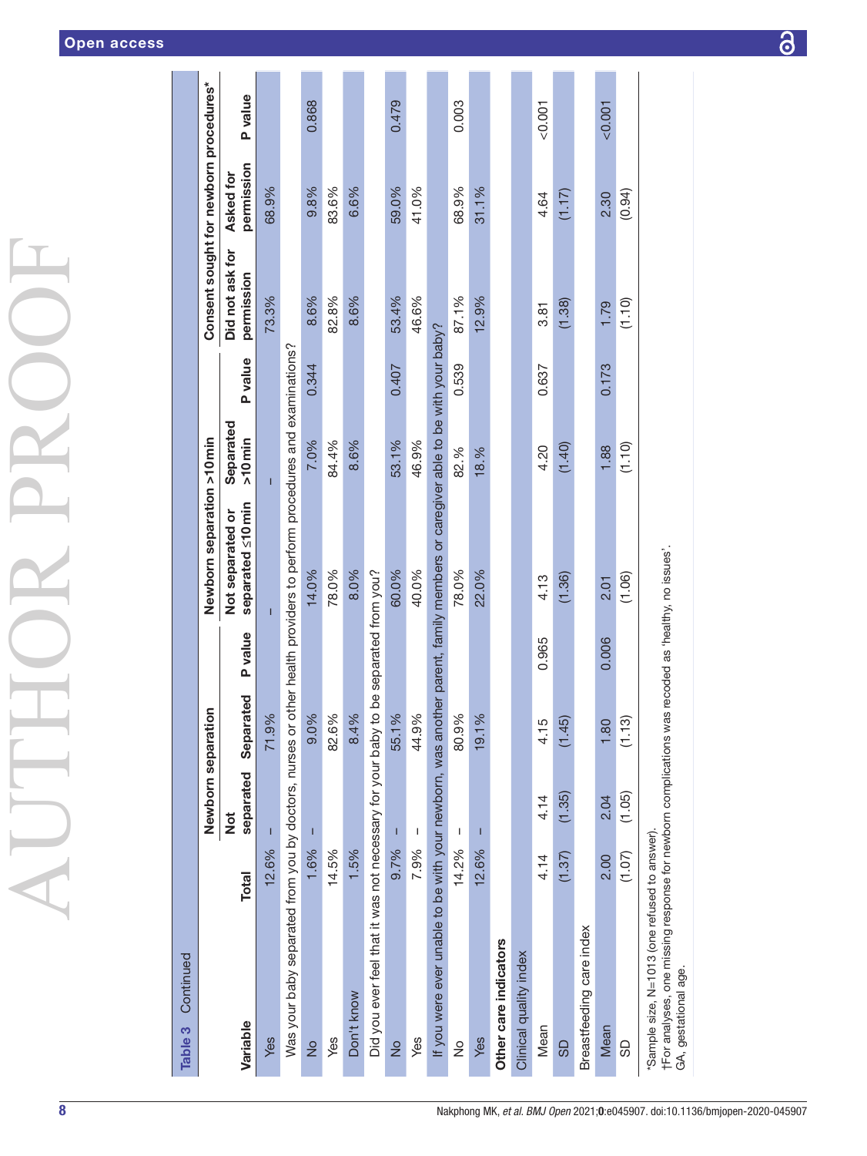| l                                               |
|-------------------------------------------------|
|                                                 |
| $\mathbf{I}$<br>$\left(\rule{0pt}{10pt}\right.$ |
|                                                 |
| ľ<br>۱                                          |
|                                                 |
|                                                 |
|                                                 |
| $\overline{\phantom{a}}$                        |
|                                                 |

| Continued<br>Table 3                                                                                                                                                        |              |                                                                                                                                                                                                                                                                                                                                                                                  |           |                        |                                       |                        |         |                                        |                         |          |
|-----------------------------------------------------------------------------------------------------------------------------------------------------------------------------|--------------|----------------------------------------------------------------------------------------------------------------------------------------------------------------------------------------------------------------------------------------------------------------------------------------------------------------------------------------------------------------------------------|-----------|------------------------|---------------------------------------|------------------------|---------|----------------------------------------|-------------------------|----------|
|                                                                                                                                                                             |              | Newborn separation                                                                                                                                                                                                                                                                                                                                                               |           |                        | Newborn separation >10 min            |                        |         | Consent sought for newborn procedures* |                         |          |
| Variable                                                                                                                                                                    | <b>Total</b> | separated<br>$\frac{1}{2}$                                                                                                                                                                                                                                                                                                                                                       | Separated | P value                | separated ≤10 min<br>Not separated or | Separated<br>$>10$ min | P value | Did not ask for<br>permission          | permission<br>Asked for | P value  |
| Yes                                                                                                                                                                         | 12.6%        |                                                                                                                                                                                                                                                                                                                                                                                  | 71.9%     |                        |                                       | Г                      |         | 73.3%                                  | 68.9%                   |          |
| Was your baby separated from you by doctors, nurses or other health providers to perform procedures and examinations?                                                       |              |                                                                                                                                                                                                                                                                                                                                                                                  |           |                        |                                       |                        |         |                                        |                         |          |
| $\frac{1}{2}$                                                                                                                                                               | 1.6%         |                                                                                                                                                                                                                                                                                                                                                                                  | 9.0%      |                        | 14.0%                                 | 7.0%                   | 0.344   | 8.6%                                   | 9.8%                    | 0.868    |
| Yes                                                                                                                                                                         | 14.5%        |                                                                                                                                                                                                                                                                                                                                                                                  | 82.6%     |                        | 78.0%                                 | 84.4%                  |         | 82.8%                                  | 83.6%                   |          |
| Don't know                                                                                                                                                                  | 1.5%         |                                                                                                                                                                                                                                                                                                                                                                                  | 8.4%      |                        | 8.0%                                  | 8.6%                   |         | 8.6%                                   | 6.6%                    |          |
| Did you ever feel that it was not necessary for your baby to                                                                                                                |              |                                                                                                                                                                                                                                                                                                                                                                                  |           | be separated from you? |                                       |                        |         |                                        |                         |          |
| $\frac{1}{2}$                                                                                                                                                               | 9.7%         | T                                                                                                                                                                                                                                                                                                                                                                                | 55.1%     |                        | 60.0%                                 | 53.1%                  | 0.407   | 53.4%                                  | 59.0%                   | 0.479    |
| Yes                                                                                                                                                                         | 7.9%         | $\begin{array}{c} \rule{0pt}{2.5ex} \rule{0pt}{2.5ex} \rule{0pt}{2.5ex} \rule{0pt}{2.5ex} \rule{0pt}{2.5ex} \rule{0pt}{2.5ex} \rule{0pt}{2.5ex} \rule{0pt}{2.5ex} \rule{0pt}{2.5ex} \rule{0pt}{2.5ex} \rule{0pt}{2.5ex} \rule{0pt}{2.5ex} \rule{0pt}{2.5ex} \rule{0pt}{2.5ex} \rule{0pt}{2.5ex} \rule{0pt}{2.5ex} \rule{0pt}{2.5ex} \rule{0pt}{2.5ex} \rule{0pt}{2.5ex} \rule{0$ | 44.9%     |                        | 40.0%                                 | 46.9%                  |         | 46.6%                                  | 41.0%                   |          |
| If you were ever unable to be with your newborn, was another parent, family members or caregiver able to be with your baby?                                                 |              |                                                                                                                                                                                                                                                                                                                                                                                  |           |                        |                                       |                        |         |                                        |                         |          |
| $\frac{1}{2}$                                                                                                                                                               | 14.2%        | I                                                                                                                                                                                                                                                                                                                                                                                | 80.9%     |                        | 78.0%                                 | 82.%                   | 0.539   | 87.1%                                  | 68.9%                   | 0.003    |
| Yes                                                                                                                                                                         | 12.6%        | T                                                                                                                                                                                                                                                                                                                                                                                | 19.1%     |                        | 22.0%                                 | 18.%                   |         | 12.9%                                  | 31.1%                   |          |
| Other care indicators                                                                                                                                                       |              |                                                                                                                                                                                                                                                                                                                                                                                  |           |                        |                                       |                        |         |                                        |                         |          |
| Clinical quality index                                                                                                                                                      |              |                                                                                                                                                                                                                                                                                                                                                                                  |           |                        |                                       |                        |         |                                        |                         |          |
| Mean                                                                                                                                                                        | 4.14         | 4.14                                                                                                                                                                                                                                                                                                                                                                             | 4.15      | 0.965                  | 4.13                                  | 4.20                   | 0.637   | 3.81                                   | 4.64                    | $-0.001$ |
| <b>GD</b>                                                                                                                                                                   | (1.37)       | (1.35)                                                                                                                                                                                                                                                                                                                                                                           | (1.45)    |                        | (1.36)                                | (1.40)                 |         | (1.38)                                 | (1.17)                  |          |
| Breastfeeding care index                                                                                                                                                    |              |                                                                                                                                                                                                                                                                                                                                                                                  |           |                        |                                       |                        |         |                                        |                         |          |
| Mean                                                                                                                                                                        | 2.00         | 2.04                                                                                                                                                                                                                                                                                                                                                                             | 1.80      | 0.006                  | 2.01                                  | 1.88                   | 0.173   | 1.79                                   | 2.30                    | 0.001    |
| SD                                                                                                                                                                          | (1.07)       | (1.05)                                                                                                                                                                                                                                                                                                                                                                           | (1.13)    |                        | (1.06)                                | (1.10)                 |         | (1.10)                                 | (0.94)                  |          |
| tFor analyses, one missing response for newborn complications was recoded as 'healthy, no issues'.<br>"Sample size, N=1013 (one refused to answer).<br>GA, gestational age. |              |                                                                                                                                                                                                                                                                                                                                                                                  |           |                        |                                       |                        |         |                                        |                         |          |

 $\overline{\mathcal{S}}$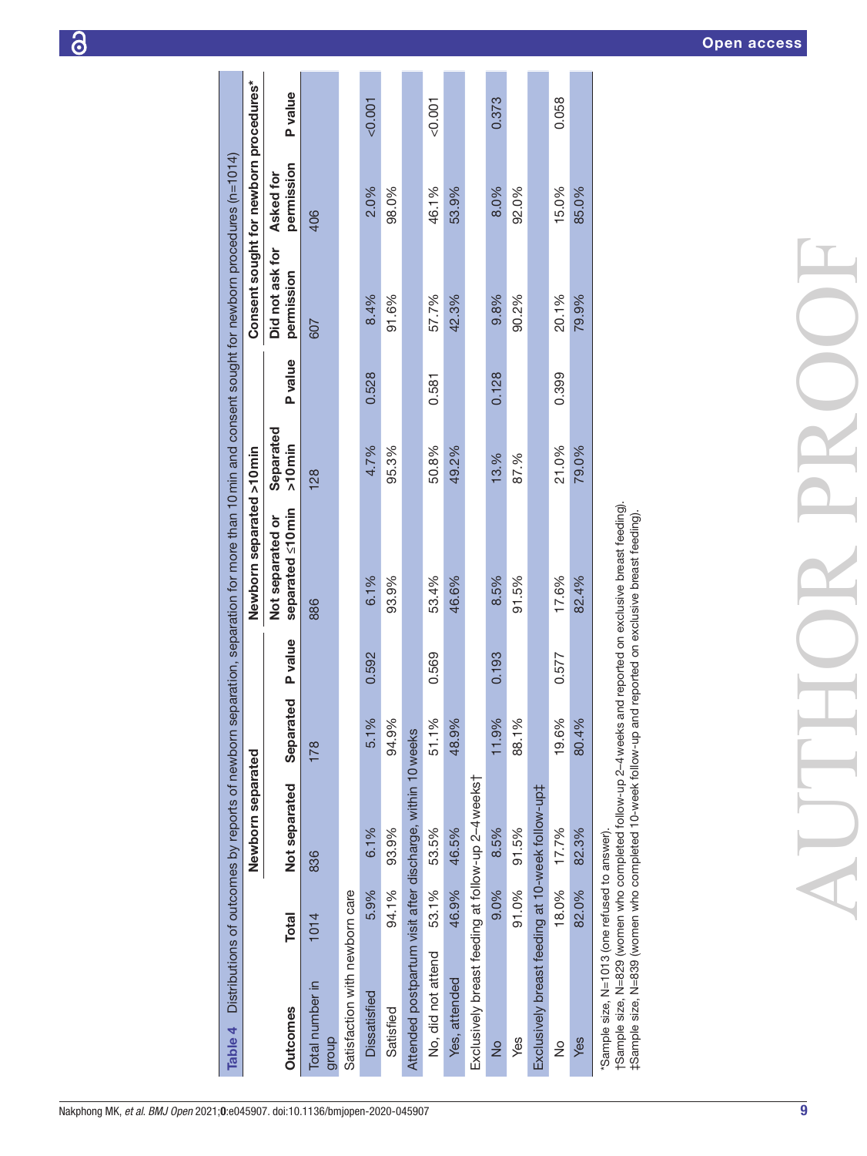<span id="page-8-0"></span>

|  | Nakphong MK, et al. BMJ Open 2021;0:e045907. doi:10.1136/bmjopen-2020-045907 |  |
|--|------------------------------------------------------------------------------|--|
|  |                                                                              |  |

| Table 4                                                    |              | Distributions of outcomes by reports of newborn |                   |                | separation, separation for more than 10 min and consent sought for newborn procedures (n=1014) |                        |         |                                        |                         |         |
|------------------------------------------------------------|--------------|-------------------------------------------------|-------------------|----------------|------------------------------------------------------------------------------------------------|------------------------|---------|----------------------------------------|-------------------------|---------|
|                                                            |              | Newborn separated                               |                   |                | Newborn separated >10 min                                                                      |                        |         | Consent sought for newborn procedures* |                         |         |
| <b>Outcomes</b>                                            | <b>Total</b> | Not separated                                   | Separated         | <b>P</b> value | separated ≤10 min<br>Not separated or                                                          | Separated<br>$>10$ min | P value | Did not ask for<br>permission          | permission<br>Asked for | P value |
| Total number in<br>dhonb                                   | 1014         | 836                                             | 178               |                | 886                                                                                            | 128                    |         | 607                                    | 406                     |         |
| Satisfaction with newborn care                             |              |                                                 |                   |                |                                                                                                |                        |         |                                        |                         |         |
| <b>Dissatisfied</b>                                        | 5.9%         | 6.1%                                            | 5.1%              | 0.592          | 6.1%                                                                                           | 4.7%                   | 0.528   | 8.4%                                   | 2.0%                    | &0.001  |
| Satisfied                                                  | 94.1%        | 93.9%                                           | 94.9%             |                | 93.9%                                                                                          | 95.3%                  |         | 91.6%                                  | 98.0%                   |         |
| Attended postpartum visit after discharge, within 10 weeks |              |                                                 |                   |                |                                                                                                |                        |         |                                        |                         |         |
| No, did not attend                                         | 53.1%        | 53.5%                                           | 51.1%             | 0.569          | 53.4%                                                                                          | 50.8%                  | 0.581   | 57.7%                                  | 46.1%                   | &0.001  |
| Yes, attended                                              | 46.9%        | 46.5%                                           | 48.9%             |                | 46.6%                                                                                          | 49.2%                  |         | 42.3%                                  | 53.9%                   |         |
| Exclusively breast feeding at follow-up 2-4 weekst         |              |                                                 |                   |                |                                                                                                |                        |         |                                        |                         |         |
| $\frac{1}{2}$                                              | 9.0%         | 8.5%                                            | 11.9%             | 0.193          | 8.5%                                                                                           | 13.%                   | 0.128   | 9.8%                                   | 8.0%                    | 0.373   |
| Yes                                                        | 91.0%        | 91.5%                                           | ≫<br>$rac{1}{88}$ |                | 91.5%                                                                                          | 87.%                   |         | 90.2%                                  | 92.0%                   |         |
| Exclusively breast feeding at 10-week follow-up‡           |              |                                                 |                   |                |                                                                                                |                        |         |                                        |                         |         |
| ž                                                          | 18.0%        | 17.7%                                           | 19.6%             | 0.577          | 17.6%                                                                                          | 21.0%                  | 0.399   | 20.1%                                  | 15.0%                   | 0.058   |
| Yes                                                        | 82.0%        | 82.3%                                           | $\approx$<br>80.4 |                | 82.4%                                                                                          | 79.0%                  |         | 79.9%                                  | 85.0%                   |         |
| "Sample size, N=1013 (one refused to answer).              |              |                                                 |                   |                |                                                                                                |                        |         |                                        |                         |         |

י ישינו של האב, ואם וכי ישר או ביי של האבטים של השימון.<br>†Sample size, N=829 (women who completed follow-up 2–4 weeks and reported on exclusive breast feeding).<br>‡Sample size, N=839 (women who completed 10-week follow-up an †Sample size, N=829 (women who completed follow-up 2–4weeks and reported on exclusive breast feeding). ‡Sample size, N=839 (women who completed 10-week follow-up and reported on exclusive breast feeding).

9

AUTHOR PROOF

a d

ROC

 $\frac{1}{\sqrt{2}}$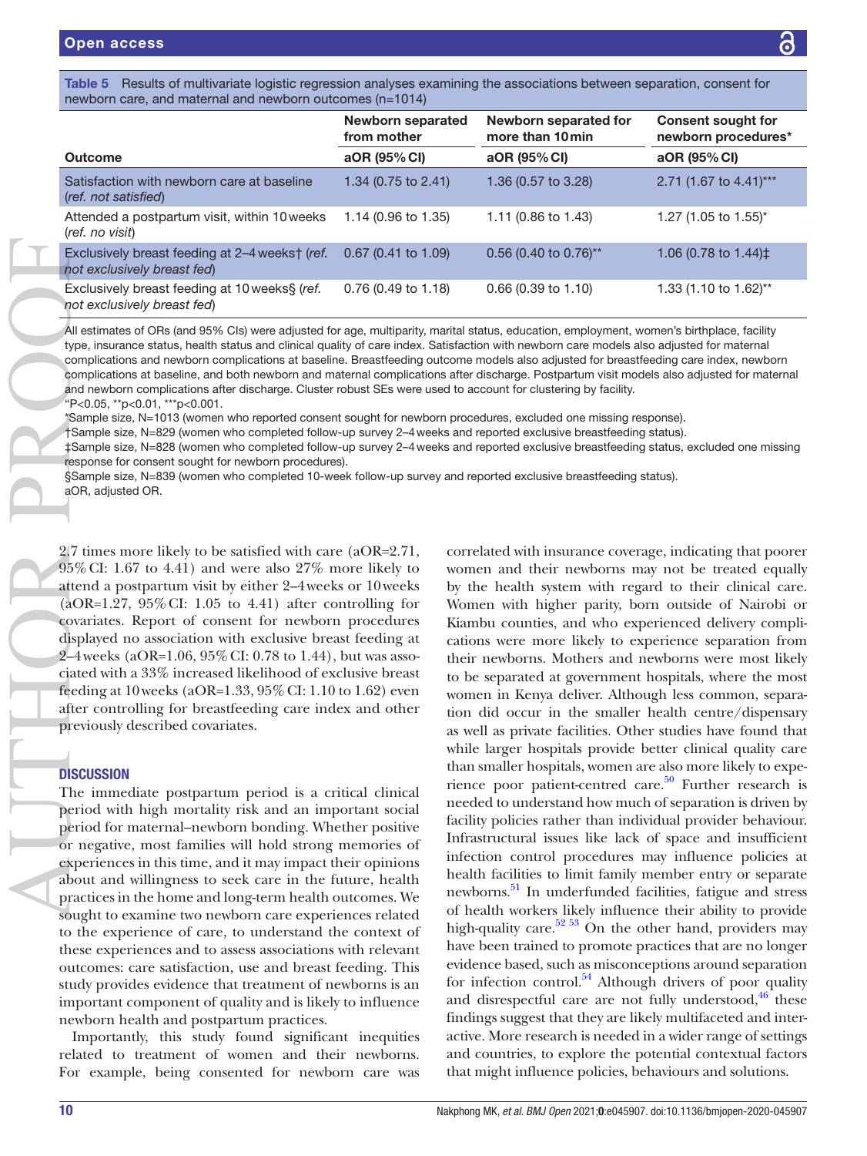<span id="page-9-0"></span>Table 5 Results of multivariate logistic regression analyses examining the associations between separation, consent for newborn care, and maternal and newborn outcomes (n=1014)

|                                                                               | Newborn separated<br>from mother | Newborn separated for<br>more than 10 min | <b>Consent sought for</b><br>newborn procedures* |
|-------------------------------------------------------------------------------|----------------------------------|-------------------------------------------|--------------------------------------------------|
| Outcome                                                                       | aOR (95% CI)                     | aOR (95% CI)                              | aOR (95% CI)                                     |
| Satisfaction with newborn care at baseline<br>(ref. not satisfied)            | 1.34 $(0.75 \text{ to } 2.41)$   | 1.36 (0.57 to 3.28)                       | 2.71 (1.67 to 4.41)***                           |
| Attended a postpartum visit, within 10 weeks<br>(ref. no visit)               | 1.14 (0.96 to 1.35)              | 1.11 $(0.86 \text{ to } 1.43)$            | 1.27 (1.05 to 1.55)*                             |
| Exclusively breast feeding at 2-4 weekst (ref.<br>not exclusively breast fed) | $0.67$ (0.41 to 1.09)            | $0.56$ (0.40 to 0.76) <sup>**</sup>       | 1.06 (0.78 to $1.44$ ) $\pm$                     |
| Exclusively breast feeding at 10 weeks§ (ref.<br>not exclusively breast fed)  | 0.76 (0.49 to 1.18)              | $0.66$ (0.39 to 1.10)                     | 1.33 (1.10 to 1.62)**                            |

All estimates of ORs (and 95% CIs) were adjusted for age, multiparity, marital status, education, employment, women's birthplace, facility type, insurance status, health status and clinical quality of care index. Satisfaction with newborn care models also adjusted for maternal complications and newborn complications at baseline. Breastfeeding outcome models also adjusted for breastfeeding care index, newborn complications at baseline, and both newborn and maternal complications after discharge. Postpartum visit models also adjusted for maternal and newborn complications after discharge. Cluster robust SEs were used to account for clustering by facility. "P<0.05, \*\*p<0.01, \*\*\*p<0.001.

\*Sample size, N=1013 (women who reported consent sought for newborn procedures, excluded one missing response).

†Sample size, N=829 (women who completed follow-up survey 2–4weeks and reported exclusive breastfeeding status).

‡Sample size, N=828 (women who completed follow-up survey 2–4weeks and reported exclusive breastfeeding status, excluded one missing response for consent sought for newborn procedures).

§Sample size, N=839 (women who completed 10-week follow-up survey and reported exclusive breastfeeding status).

2.7 times more likely to be satisfied with care (aOR=2.71, 95%CI: 1.67 to 4.41) and were also 27% more likely to attend a postpartum visit by either 2–4weeks or 10weeks  $(aOR=1.27, 95\% CI: 1.05$  to 4.41) after controlling for covariates. Report of consent for newborn procedures displayed no association with exclusive breast feeding at 2–4weeks (aOR=1.06, 95%CI: 0.78 to 1.44), but was associated with a 33% increased likelihood of exclusive breast feeding at 10weeks (aOR=1.33, 95%CI: 1.10 to 1.62) even after controlling for breastfeeding care index and other previously described covariates. Exclusively breashot exclusively breashot exclusively b.<br>
Exclusively breashot exclusively b.<br>
All estimates of OF<br>
type, insurance star<br>
complications and<br>
complications at band newborn commeters<br>
or the sample size, N=8<br>

# **DISCUSSION**

The immediate postpartum period is a critical clinical period with high mortality risk and an important social period for maternal–newborn bonding. Whether positive or negative, most families will hold strong memories of experiences in this time, and it may impact their opinions about and willingness to seek care in the future, health practices in the home and long-term health outcomes. We sought to examine two newborn care experiences related to the experience of care, to understand the context of these experiences and to assess associations with relevant outcomes: care satisfaction, use and breast feeding. This study provides evidence that treatment of newborns is an important component of quality and is likely to influence newborn health and postpartum practices.

Importantly, this study found significant inequities related to treatment of women and their newborns. For example, being consented for newborn care was

correlated with insurance coverage, indicating that poorer women and their newborns may not be treated equally by the health system with regard to their clinical care. Women with higher parity, born outside of Nairobi or Kiambu counties, and who experienced delivery complications were more likely to experience separation from their newborns. Mothers and newborns were most likely to be separated at government hospitals, where the most women in Kenya deliver. Although less common, separation did occur in the smaller health centre/dispensary as well as private facilities. Other studies have found that while larger hospitals provide better clinical quality care than smaller hospitals, women are also more likely to experience poor patient-centred care. $50$  Further research is needed to understand how much of separation is driven by facility policies rather than individual provider behaviour. Infrastructural issues like lack of space and insufficient infection control procedures may influence policies at health facilities to limit family member entry or separate newborns.<sup>51</sup> In underfunded facilities, fatigue and stress of health workers likely influence their ability to provide high-quality care.<sup>52 53</sup> On the other hand, providers may have been trained to promote practices that are no longer evidence based, such as misconceptions around separation for infection control. $54$  Although drivers of poor quality and disrespectful care are not fully understood, $46$  these findings suggest that they are likely multifaceted and interactive. More research is needed in a wider range of settings and countries, to explore the potential contextual factors that might influence policies, behaviours and solutions.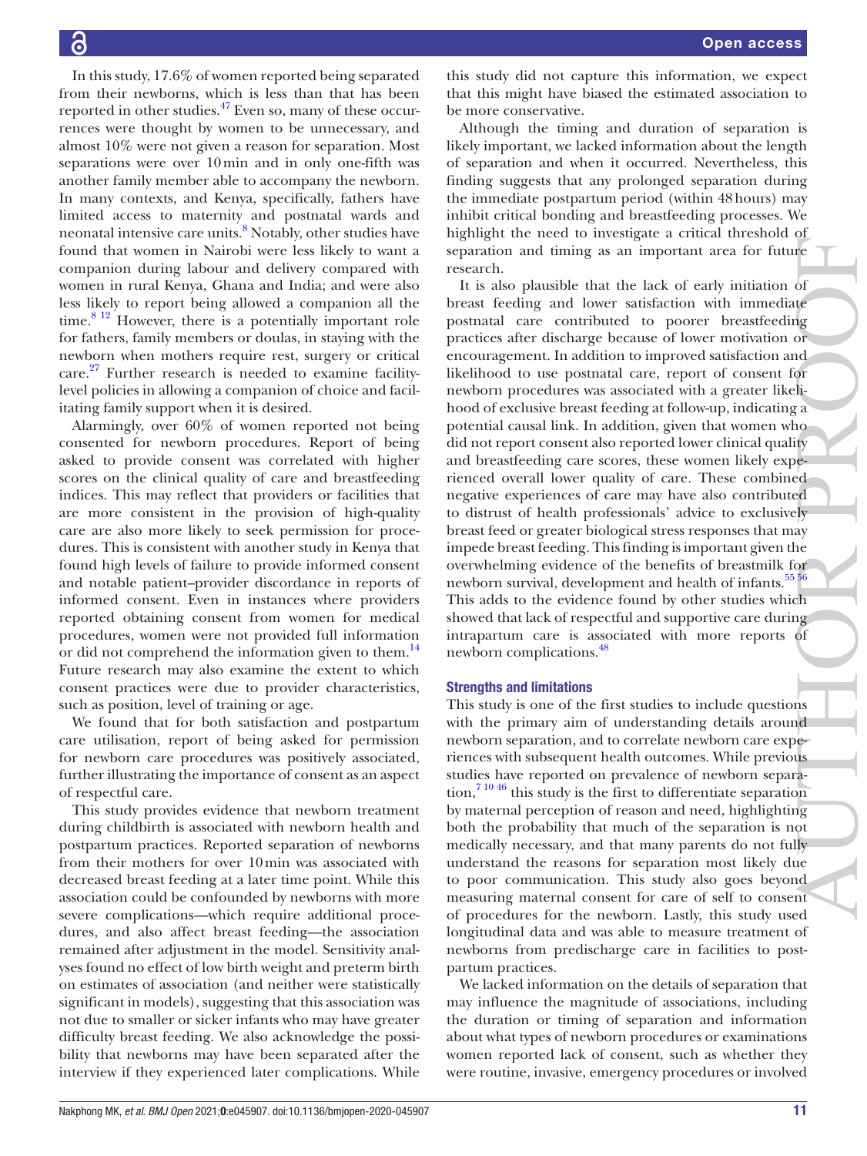In this study, 17.6% of women reported being separated from their newborns, which is less than that has been reported in other studies.<sup>47</sup> Even so, many of these occurrences were thought by women to be unnecessary, and almost 10% were not given a reason for separation. Most separations were over 10min and in only one-fifth was another family member able to accompany the newborn. In many contexts, and Kenya, specifically, fathers have limited access to maternity and postnatal wards and neonatal intensive care units.<sup>[8](#page-11-9)</sup> Notably, other studies have found that women in Nairobi were less likely to want a companion during labour and delivery compared with women in rural Kenya, Ghana and India; and were also less likely to report being allowed a companion all the time.<sup>8 12</sup> However, there is a potentially important role for fathers, family members or doulas, in staying with the newborn when mothers require rest, surgery or critical care. $27$  Further research is needed to examine facilitylevel policies in allowing a companion of choice and facilitating family support when it is desired.

Alarmingly, over 60% of women reported not being consented for newborn procedures. Report of being asked to provide consent was correlated with higher scores on the clinical quality of care and breastfeeding indices. This may reflect that providers or facilities that are more consistent in the provision of high-quality care are also more likely to seek permission for procedures. This is consistent with another study in Kenya that found high levels of failure to provide informed consent and notable patient–provider discordance in reports of informed consent. Even in instances where providers reported obtaining consent from women for medical procedures, women were not provided full information or did not comprehend the information given to them.<sup>14</sup> Future research may also examine the extent to which consent practices were due to provider characteristics, such as position, level of training or age.

We found that for both satisfaction and postpartum care utilisation, report of being asked for permission for newborn care procedures was positively associated, further illustrating the importance of consent as an aspect of respectful care.

This study provides evidence that newborn treatment during childbirth is associated with newborn health and postpartum practices. Reported separation of newborns from their mothers for over 10min was associated with decreased breast feeding at a later time point. While this association could be confounded by newborns with more severe complications—which require additional procedures, and also affect breast feeding—the association remained after adjustment in the model. Sensitivity analyses found no effect of low birth weight and preterm birth on estimates of association (and neither were statistically significant in models), suggesting that this association was not due to smaller or sicker infants who may have greater difficulty breast feeding. We also acknowledge the possibility that newborns may have been separated after the interview if they experienced later complications. While

this study did not capture this information, we expect that this might have biased the estimated association to be more conservative.

Although the timing and duration of separation is likely important, we lacked information about the length of separation and when it occurred. Nevertheless, this finding suggests that any prolonged separation during the immediate postpartum period (within 48hours) may inhibit critical bonding and breastfeeding processes. We highlight the need to investigate a critical threshold of separation and timing as an important area for future research.

It is also plausible that the lack of early initiation of breast feeding and lower satisfaction with immediate postnatal care contributed to poorer breastfeeding practices after discharge because of lower motivation or encouragement. In addition to improved satisfaction and likelihood to use postnatal care, report of consent for newborn procedures was associated with a greater likelihood of exclusive breast feeding at follow-up, indicating a potential causal link. In addition, given that women who did not report consent also reported lower clinical quality and breastfeeding care scores, these women likely experienced overall lower quality of care. These combined negative experiences of care may have also contributed to distrust of health professionals' advice to exclusively breast feed or greater biological stress responses that may impede breast feeding. This finding is important given the overwhelming evidence of the benefits of breastmilk for newborn survival, development and health of infants.<sup>55</sup><sup>56</sup> This adds to the evidence found by other studies which showed that lack of respectful and supportive care during intrapartum care is associated with more reports of newborn complications.[48](#page-12-15) separation and timing as an important area for future<br>
resparation, and liming as an important area for future<br>
It is also plausible that the lack of carly initiation of<br>breast redding and lower such than the much inverdi

#### Strengths and limitations

This study is one of the first studies to include questions with the primary aim of understanding details around newborn separation, and to correlate newborn care experiences with subsequent health outcomes. While previous studies have reported on prevalence of newborn separa- $\frac{7 \times 10^{46}}{6 \times 10^{46}}$  this study is the first to differentiate separation by maternal perception of reason and need, highlighting both the probability that much of the separation is not medically necessary, and that many parents do not fully understand the reasons for separation most likely due to poor communication. This study also goes beyond measuring maternal consent for care of self to consent of procedures for the newborn. Lastly, this study used longitudinal data and was able to measure treatment of newborns from predischarge care in facilities to postpartum practices.

We lacked information on the details of separation that may influence the magnitude of associations, including the duration or timing of separation and information about what types of newborn procedures or examinations women reported lack of consent, such as whether they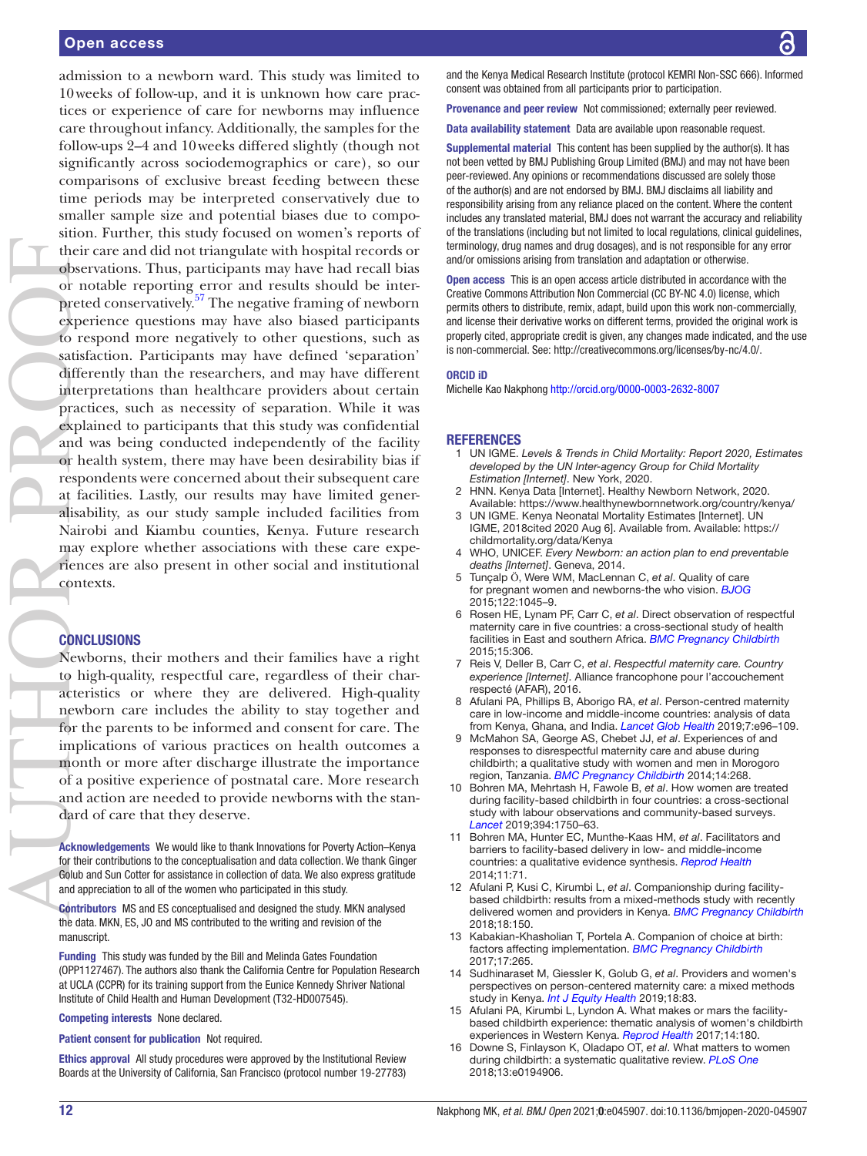admission to a newborn ward. This study was limited to 10weeks of follow-up, and it is unknown how care practices or experience of care for newborns may influence care throughout infancy. Additionally, the samples for the follow-ups 2–4 and 10weeks differed slightly (though not significantly across sociodemographics or care), so our comparisons of exclusive breast feeding between these time periods may be interpreted conservatively due to smaller sample size and potential biases due to composition. Further, this study focused on women's reports of their care and did not triangulate with hospital records or observations. Thus, participants may have had recall bias or notable reporting error and results should be interpreted conservatively.<sup>57</sup> The negative framing of newborn experience questions may have also biased participants to respond more negatively to other questions, such as satisfaction. Participants may have defined 'separation' differently than the researchers, and may have different interpretations than healthcare providers about certain practices, such as necessity of separation. While it was explained to participants that this study was confidential and was being conducted independently of the facility or health system, there may have been desirability bias if respondents were concerned about their subsequent care at facilities. Lastly, our results may have limited generalisability, as our study sample included facilities from Nairobi and Kiambu counties, Kenya. Future research may explore whether associations with these care experiences are also present in other social and institutional contexts.

### **CONCLUSIONS**

Newborns, their mothers and their families have a right to high-quality, respectful care, regardless of their characteristics or where they are delivered. High-quality newborn care includes the ability to stay together and for the parents to be informed and consent for care. The implications of various practices on health outcomes a month or more after discharge illustrate the importance of a positive experience of postnatal care. More research and action are needed to provide newborns with the standard of care that they deserve.

Acknowledgements We would like to thank Innovations for Poverty Action–Kenya for their contributions to the conceptualisation and data collection. We thank Ginger Golub and Sun Cotter for assistance in collection of data. We also express gratitude and appreciation to all of the women who participated in this study.

Contributors MS and ES conceptualised and designed the study. MKN analysed the data. MKN, ES, JO and MS contributed to the writing and revision of the manuscript.

Funding This study was funded by the Bill and Melinda Gates Foundation (OPP1127467). The authors also thank the California Centre for Population Research at UCLA (CCPR) for its training support from the Eunice Kennedy Shriver National Institute of Child Health and Human Development (T32-HD007545).

Competing interests None declared.

Patient consent for publication Not required.

Ethics approval All study procedures were approved by the Institutional Review Boards at the University of California, San Francisco (protocol number 19-27783) and the Kenya Medical Research Institute (protocol KEMRI Non-SSC 666). Informed consent was obtained from all participants prior to participation.

Provenance and peer review Not commissioned; externally peer reviewed.

Data availability statement Data are available upon reasonable request.

Supplemental material This content has been supplied by the author(s). It has not been vetted by BMJ Publishing Group Limited (BMJ) and may not have been peer-reviewed. Any opinions or recommendations discussed are solely those of the author(s) and are not endorsed by BMJ. BMJ disclaims all liability and responsibility arising from any reliance placed on the content. Where the content includes any translated material, BMJ does not warrant the accuracy and reliability of the translations (including but not limited to local regulations, clinical guidelines, terminology, drug names and drug dosages), and is not responsible for any error and/or omissions arising from translation and adaptation or otherwise.

Open access This is an open access article distributed in accordance with the Creative Commons Attribution Non Commercial (CC BY-NC 4.0) license, which permits others to distribute, remix, adapt, build upon this work non-commercially, and license their derivative works on different terms, provided the original work is properly cited, appropriate credit is given, any changes made indicated, and the use is non-commercial. See: [http://creativecommons.org/licenses/by-nc/4.0/.](http://creativecommons.org/licenses/by-nc/4.0/)

#### ORCID iD

Michelle Kao Nakphong<http://orcid.org/0000-0003-2632-8007>

#### <span id="page-11-0"></span>**REFERENCES**

- 1 UN IGME. *Levels & Trends in Child Mortality: Report 2020, Estimates developed by the UN Inter-agency Group for Child Mortality Estimation [Internet]*. New York, 2020.
- <span id="page-11-1"></span>2 HNN. Kenya Data [Internet]. Healthy Newborn Network, 2020. Available: <https://www.healthynewbornnetwork.org/country/kenya/>
- <span id="page-11-2"></span>UN IGME. Kenya Neonatal Mortality Estimates [Internet]. UN IGME, 2018cited 2020 Aug 6]. Available from. Available: [https://](https://childmortality.org/data/Kenya)
- <span id="page-11-3"></span>[childmortality.org/data/Kenya](https://childmortality.org/data/Kenya) 4 WHO, UNICEF. *Every Newborn: an action plan to end preventable*
- <span id="page-11-4"></span>*deaths [Internet]*. Geneva, 2014. 5 Tunçalp Ӧ, Were WM, MacLennan C, *et al*. Quality of care
- for pregnant women and newborns-the who vision. *[BJOG](http://dx.doi.org/10.1111/1471-0528.13451)* 2015;122:1045–9.
- <span id="page-11-5"></span>6 Rosen HE, Lynam PF, Carr C, *et al*. Direct observation of respectful maternity care in five countries: a cross-sectional study of health facilities in East and southern Africa. *[BMC Pregnancy Childbirth](http://dx.doi.org/10.1186/s12884-015-0728-4)* 2015;15:306.
- <span id="page-11-8"></span>7 Reis V, Deller B, Carr C, *et al*. *Respectful maternity care. Country experience [Internet]*. Alliance francophone pour l'accouchement respecté (AFAR), 2016.
- <span id="page-11-9"></span>8 Afulani PA, Phillips B, Aborigo RA, *et al*. Person-centred maternity care in low-income and middle-income countries: analysis of data from Kenya, Ghana, and India. *[Lancet Glob Health](http://dx.doi.org/10.1016/S2214-109X(18)30403-0)* 2019;7:e96–109.
- 9 McMahon SA, George AS, Chebet JJ, *et al*. Experiences of and responses to disrespectful maternity care and abuse during childbirth; a qualitative study with women and men in Morogoro region, Tanzania. *[BMC Pregnancy Childbirth](http://dx.doi.org/10.1186/1471-2393-14-268)* 2014;14:268.
- 10 Bohren MA, Mehrtash H, Fawole B, *et al*. How women are treated during facility-based childbirth in four countries: a cross-sectional study with labour observations and community-based surveys. *[Lancet](http://dx.doi.org/10.1016/S0140-6736(19)31992-0)* 2019;394:1750–63.
- 11 Bohren MA, Hunter EC, Munthe-Kaas HM, *et al*. Facilitators and barriers to facility-based delivery in low- and middle-income countries: a qualitative evidence synthesis. *[Reprod Health](http://dx.doi.org/10.1186/1742-4755-11-71)* 2014;11:71.
- <span id="page-11-6"></span>12 Afulani P, Kusi C, Kirumbi L, *et al*. Companionship during facilitybased childbirth: results from a mixed-methods study with recently delivered women and providers in Kenya. *[BMC Pregnancy Childbirth](http://dx.doi.org/10.1186/s12884-018-1806-1)* 2018;18:150.
- 13 Kabakian-Khasholian T, Portela A. Companion of choice at birth: factors affecting implementation. *[BMC Pregnancy Childbirth](http://dx.doi.org/10.1186/s12884-017-1447-9)* 2017;17:265.
- <span id="page-11-10"></span>14 Sudhinaraset M, Giessler K, Golub G, *et al*. Providers and women's perspectives on person-centered maternity care: a mixed methods study in Kenya. *[Int J Equity Health](http://dx.doi.org/10.1186/s12939-019-0980-8)* 2019;18:83.
- <span id="page-11-7"></span>15 Afulani PA, Kirumbi L, Lyndon A. What makes or mars the facilitybased childbirth experience: thematic analysis of women's childbirth experiences in Western Kenya. *[Reprod Health](http://dx.doi.org/10.1186/s12978-017-0446-7)* 2017;14:180.
- 16 Downe S, Finlayson K, Oladapo OT, *et al*. What matters to women during childbirth: a systematic qualitative review. *[PLoS One](http://dx.doi.org/10.1371/journal.pone.0194906)* 2018;13:e0194906.